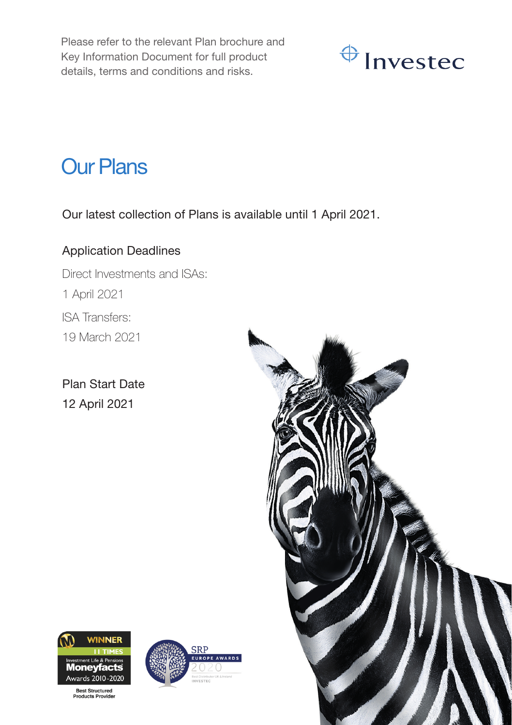Please refer to the relevant Plan brochure and Key Information Document for full product details, terms and conditions and risks.



## Our Plans

Our latest collection of Plans is available until 1 April 2021.

## Application Deadlines

Direct Investments and ISAs: 1 April 2021 ISA Transfers: 19 March 2021

Plan Start Date 12 April 2021





**Best Structured**<br>Products Provide

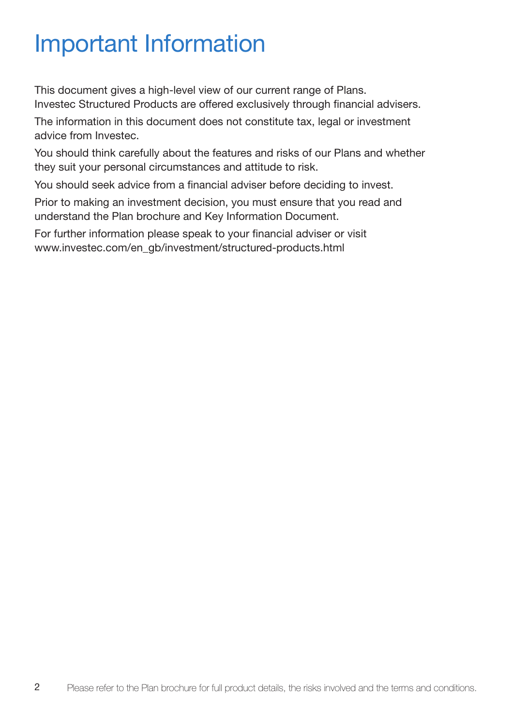# Important Information

This document gives a high-level view of our current range of Plans. Investec Structured Products are offered exclusively through financial advisers.

The information in this document does not constitute tax, legal or investment advice from Investec.

You should think carefully about the features and risks of our Plans and whether they suit your personal circumstances and attitude to risk.

You should seek advice from a financial adviser before deciding to invest.

Prior to making an investment decision, you must ensure that you read and understand the Plan brochure and Key Information Document.

For further information please speak to your financial adviser or visit www.investec.com/en\_gb/investment/structured-products.html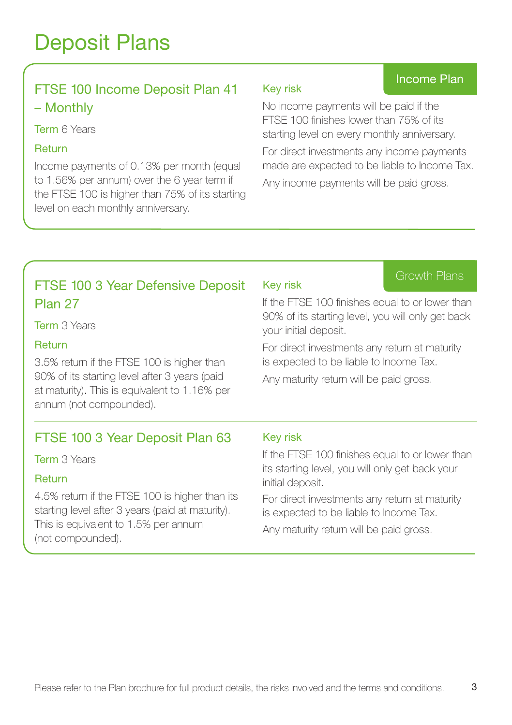## Deposit Plans

## FTSE 100 Income Deposit Plan 41 – Monthly

**Term 6 Years** 

#### Return

Income payments of 0.13% per month (equal to 1.56% per annum) over the 6 year term if the FTSE 100 is higher than 75% of its starting level on each monthly anniversary.

## Key risk

No income payments will be paid if the FTSE 100 finishes lower than 75% of its starting level on every monthly anniversary.

For direct investments any income payments made are expected to be liable to Income Tax.

Any income payments will be paid gross.

## FTSE 100 3 Year Defensive Deposit Plan 27

Term 3 Years

#### Return

3.5% return if the FTSE 100 is higher than 90% of its starting level after 3 years (paid at maturity). This is equivalent to 1.16% per annum (not compounded).

## FTSE 100 3 Year Deposit Plan 63

Term 3 Years

## Return

4.5% return if the FTSE 100 is higher than its starting level after 3 years (paid at maturity). This is equivalent to 1.5% per annum (not compounded).

## Key risk

Growth Plans

Income Plan

If the FTSE 100 finishes equal to or lower than 90% of its starting level, you will only get back your initial deposit.

For direct investments any return at maturity is expected to be liable to Income Tax.

Any maturity return will be paid gross.

### Key risk

If the FTSE 100 finishes equal to or lower than its starting level, you will only get back your initial deposit.

For direct investments any return at maturity is expected to be liable to Income Tax.

Any maturity return will be paid gross.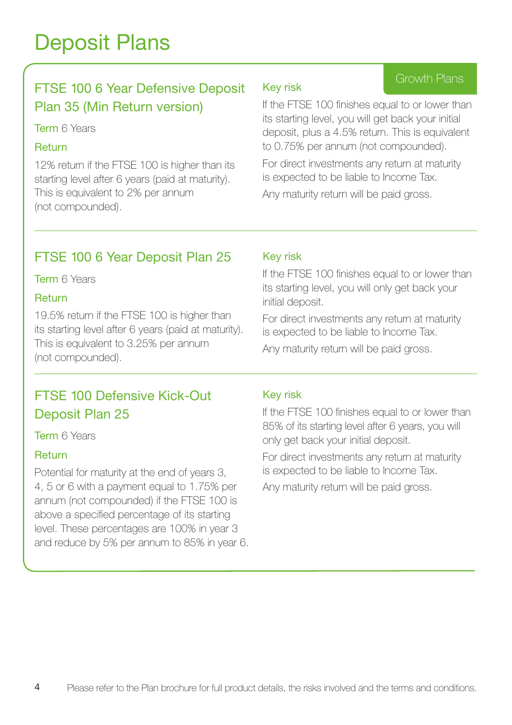## Deposit Plans

## FTSE 100 6 Year Defensive Deposit Plan 35 (Min Return version)

#### **Term 6 Years**

#### Return

12% return if the FTSE 100 is higher than its starting level after 6 years (paid at maturity). This is equivalent to 2% per annum (not compounded).

#### Key risk

## Growth Plans

If the FTSE 100 finishes equal to or lower than its starting level, you will get back your initial deposit, plus a 4.5% return. This is equivalent to 0.75% per annum (not compounded).

For direct investments any return at maturity is expected to be liable to Income Tax.

Any maturity return will be paid gross.

## FTSE 100 6 Year Deposit Plan 25

**Term 6 Years** 

### Return

19.5% return if the FTSE 100 is higher than its starting level after 6 years (paid at maturity). This is equivalent to 3.25% per annum (not compounded).

## FTSE 100 Defensive Kick-Out Deposit Plan 25

Term 6 Years

## Return

Potential for maturity at the end of years 3, 4, 5 or 6 with a payment equal to 1.75% per annum (not compounded) if the FTSE 100 is above a specified percentage of its starting level. These percentages are 100% in year 3 and reduce by 5% per annum to 85% in year 6.

## Key risk

If the FTSE 100 finishes equal to or lower than its starting level, you will only get back your initial deposit.

For direct investments any return at maturity is expected to be liable to Income Tax. Any maturity return will be paid gross.

#### Key risk

If the FTSE 100 finishes equal to or lower than 85% of its starting level after 6 years, you will only get back your initial deposit.

For direct investments any return at maturity is expected to be liable to Income Tax.

Any maturity return will be paid gross.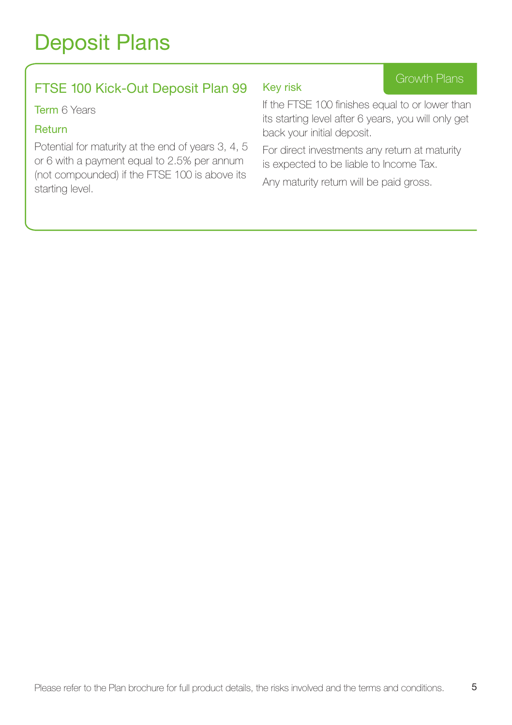## FTSE 100 Kick-Out Deposit Plan 99

**Term 6 Years** 

#### **Return**

Potential for maturity at the end of years 3, 4, 5 or 6 with a payment equal to 2.5% per annum (not compounded) if the FTSE 100 is above its starting level.

#### Key risk

Growth Plans

If the FTSE 100 finishes equal to or lower than its starting level after 6 years, you will only get back your initial deposit.

For direct investments any return at maturity is expected to be liable to Income Tax.

Any maturity return will be paid gross.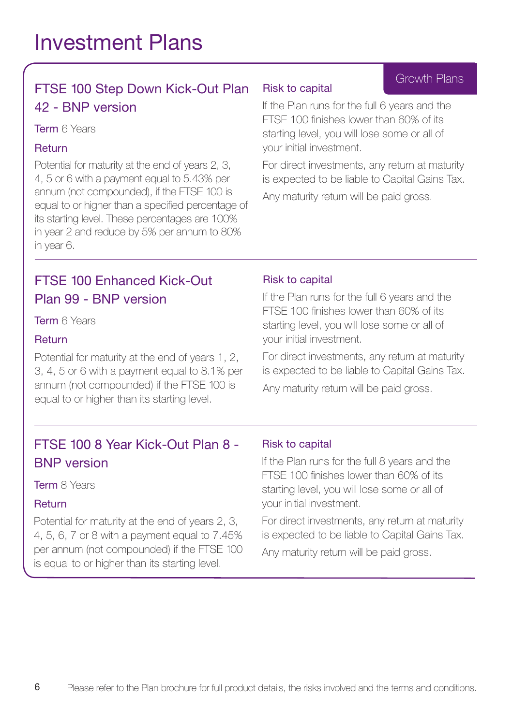## FTSE 100 Step Down Kick-Out Plan 42 - BNP version

#### **Term 6 Years**

## Return

Potential for maturity at the end of years 2, 3, 4, 5 or 6 with a payment equal to 5.43% per annum (not compounded), if the FTSE 100 is equal to or higher than a specified percentage of its starting level. These percentages are 100% in year 2 and reduce by 5% per annum to 80% in year 6.

## FTSE 100 Enhanced Kick-Out Plan 99 - BNP version

Term **6 Years** 

## Return

Potential for maturity at the end of years 1, 2, 3, 4, 5 or 6 with a payment equal to 8.1% per annum (not compounded) if the FTSE 100 is equal to or higher than its starting level.

## FTSE 100 8 Year Kick-Out Plan 8 - BNP version

Term 8 Years

#### **Return**

Potential for maturity at the end of years 2, 3, 4, 5, 6, 7 or 8 with a payment equal to 7.45% per annum (not compounded) if the FTSE 100 is equal to or higher than its starting level.

#### Risk to capital

If the Plan runs for the full 6 years and the FTSE 100 finishes lower than 60% of its starting level, you will lose some or all of your initial investment.

For direct investments, any return at maturity is expected to be liable to Capital Gains Tax. Any maturity return will be paid gross.

## Risk to capital

If the Plan runs for the full 6 years and the FTSE 100 finishes lower than 60% of its starting level, you will lose some or all of your initial investment.

For direct investments, any return at maturity is expected to be liable to Capital Gains Tax.

Any maturity return will be paid gross.

## Risk to capital

If the Plan runs for the full 8 years and the FTSE 100 finishes lower than 60% of its starting level, you will lose some or all of your initial investment.

For direct investments, any return at maturity is expected to be liable to Capital Gains Tax.

Any maturity return will be paid gross.

## Growth Plans